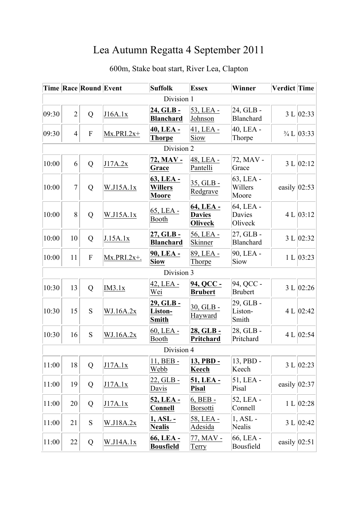## Lea Autumn Regatta 4 September 2011

|            |                | <b>Time Race Round Event</b> |                | <b>Suffolk</b>                              | <b>Essex</b>                                 | Winner                         | Verdict Time     |                          |
|------------|----------------|------------------------------|----------------|---------------------------------------------|----------------------------------------------|--------------------------------|------------------|--------------------------|
| Division 1 |                |                              |                |                                             |                                              |                                |                  |                          |
| 09:30      | $\overline{2}$ | Q                            | J16A.1x        | 24, GLB-<br><b>Blanchard</b>                | 53, LEA -<br>Johnson                         | 24, GLB -<br><b>Blanchard</b>  |                  | 3 L   02:33              |
| 09:30      | $\overline{4}$ | $\mathbf{F}$                 | $Mx.PRI.2x+$   | 40, LEA -<br><u>Thorpe</u>                  | 41, LEA -<br>Siow                            | $40$ , LEA -<br>Thorpe         |                  | $\frac{3}{4}$ L $ 03:33$ |
|            |                |                              |                | Division 2                                  |                                              |                                |                  |                          |
| 10:00      | 6              | $\overline{Q}$               | J17A.2x        | 72, MAV -<br>Grace                          | 48, LEA -<br>Pantelli                        | 72, MAV -<br>Grace             |                  | 3 L   02:12              |
| 10:00      | $\overline{7}$ | Q                            | W.J15A.1x      | 63, LEA -<br><b>Willers</b><br><b>Moore</b> | 35, GLB -<br>Redgrave                        | 63, LEA -<br>Willers<br>Moore  | easily $ 02:53$  |                          |
| 10:00      | 8              | Q                            | W.J15A.1x      | 65, LEA -<br>Booth                          | 64, LEA -<br><b>Davies</b><br><b>Oliveck</b> | 64, LEA -<br>Davies<br>Oliveck |                  | 4 L   03:12              |
| 10:00      | 10             | Q                            | J.15A.1x       | 27, GLB -<br><b>Blanchard</b>               | 56, LEA -<br>Skinner                         | $27,$ GLB -<br>Blanchard       |                  | 3 L   02:32              |
| 10:00      | 11             | ${\bf F}$                    | $Mx.PRI.2x+$ . | 90, LEA -<br><b>Siow</b>                    | 89, LEA -<br>Thorpe                          | 90, LEA -<br>Siow              |                  | 1 L   03:23              |
|            |                |                              |                | Division 3                                  |                                              |                                |                  |                          |
| 10:30      | 13             | Q                            | IM3.1x         | 42, LEA -<br>Wei                            | 94, QCC -<br><b>Brubert</b>                  | 94, QCC -<br><b>Brubert</b>    |                  | 3 L   02:26              |
| 10:30      | 15             | S                            | WJ.16A.2x      | 29, GLB-<br>Liston-<br><b>Smith</b>         | 30, GLB -<br>Hayward                         | 29, GLB -<br>Liston-<br>Smith  |                  | 4 L   02:42              |
| 10:30      | 16             | S                            | WJ.16A.2x      | 60, LEA -<br>Booth                          | 28, GLB-<br>Pritchard                        | 28, GLB -<br>Pritchard         |                  | 4 L $ 02:54$             |
|            |                |                              |                | Division 4                                  |                                              |                                |                  |                          |
| 11:00      | 18             | Q                            | J17A.1x        | 11, BEB -<br>Webb                           | 13, PBD -<br>Keech                           | 13, PBD -<br>Keech             |                  | 3 L   02:23              |
| 11:00      | 19             | Q                            | <u>J17A.1x</u> | 22, GLB -<br>Davis                          | 51, LEA -<br><b>Pisal</b>                    | 51, LEA -<br>Pisal             | easily $ 02:37$  |                          |
| 11:00      | 20             | Q                            | J17A.1x        | 52, LEA -<br>Connell                        | 6, BEB -<br>Borsotti                         | 52, LEA -<br>Connell           |                  | 1 L   02:28              |
| 11:00      | 21             | S                            | W.J18A.2x      | 1, ASL -<br><b>Nealis</b>                   | 58, LEA -<br>Adesida                         | $1, ASL -$<br>Nealis           |                  | 3 L   02:42              |
| 11:00      | 22             | Q                            | W.J14A.1x      | 66, LEA -<br><b>Bousfield</b>               | 77, MAV -<br><u>Terry</u>                    | 66, LEA -<br>Bousfield         | easily $ 02:51 $ |                          |

## 600m, Stake boat start, River Lea, Clapton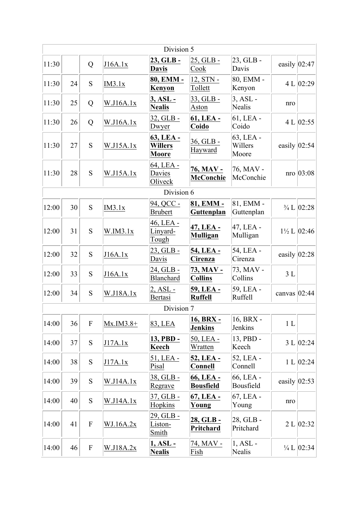|            |    |                           |             | Division 5                                  |                               |                               |                  |                                            |  |
|------------|----|---------------------------|-------------|---------------------------------------------|-------------------------------|-------------------------------|------------------|--------------------------------------------|--|
| 11:30      |    | Q                         | J16A.1x     | 23, GLB-<br><b>Davis</b>                    | 25, GLB -<br>Cook             | $23, GLB$ -<br>Davis          | easily $ 02:47$  |                                            |  |
| 11:30      | 24 | S                         | IM3.1x      | 80, EMM -<br>Kenyon                         | 12, STN -<br>Tollett          | 80, EMM -<br>Kenyon           |                  | 4 L $ 02:29$                               |  |
| 11:30      | 25 | Q                         | W.J16A.1x   | 3, ASL -<br><b>Nealis</b>                   | 33, GLB -<br>Aston            | $3, ASL -$<br>Nealis          | nro              |                                            |  |
| 11:30      | 26 | Q                         | W.J16A.1x   | 32, GLB -<br>Dwyer                          | 61, LEA -<br>Coido            | $61$ , LEA -<br>Coido         |                  | 4 L   02:55                                |  |
| 11:30      | 27 | S                         | W.J15A.1x   | 63, LEA -<br><b>Willers</b><br><b>Moore</b> | 36, GLB -<br>Hayward          | 63, LEA -<br>Willers<br>Moore | easily $ 02:54$  |                                            |  |
| 11:30      | 28 | S                         | W.J15A.1x   | 64, LEA -<br>Davies<br>Oliveck              | 76, MAV -<br><b>McConchie</b> | 76, MAV -<br>McConchie        |                  | $\text{nro}$ 03:08                         |  |
| Division 6 |    |                           |             |                                             |                               |                               |                  |                                            |  |
| 12:00      | 30 | S                         | IM3.1x      | 94, QCC -<br><b>Brubert</b>                 | 81, EMM -<br>Guttenplan       | 81, EMM -<br>Guttenplan       |                  | $\frac{3}{4}$ L $\left 02:28\right\rangle$ |  |
| 12:00      | 31 | S                         | W.IM3.1x    | 46, LEA -<br>Linyard-<br>Tough              | 47, LEA -<br><b>Mulligan</b>  | 47, LEA -<br>Mulligan         |                  | $1\frac{1}{2}$ L $ 02:46$                  |  |
| 12:00      | 32 | S                         | J16A.1x     | 23, GLB -<br>Davis                          | 54, LEA -<br>Cirenza          | 54, LEA -<br>Cirenza          | easily $ 02:28$  |                                            |  |
| 12:00      | 33 | S                         | J16A.1x     | 24, GLB -<br><b>Blanchard</b>               | 73, MAV -<br><b>Collins</b>   | 73, MAV -<br>Collins          | 3L               |                                            |  |
| 12:00      | 34 | S                         | W.J18A.1x   | 2, ASL -<br>Bertasi                         | 59, LEA -<br><b>Ruffell</b>   | 59, LEA -<br><b>Ruffell</b>   | canvas $ 02:44$  |                                            |  |
|            |    |                           |             | Division 7                                  |                               |                               |                  |                                            |  |
| 14:00      | 36 | ${\bf F}$                 | $Mx.IM3.8+$ | 83, LEA                                     | 16, BRX -<br><b>Jenkins</b>   | 16, BRX -<br>Jenkins          | 1 <sub>L</sub>   |                                            |  |
| 14:00      | 37 | ${\bf S}$                 | J17A.1x     | 13, PBD -<br>Keech                          | 50, LEA -<br>Wratten          | 13, PBD -<br>Keech            |                  | 3 L   02:24                                |  |
| 14:00      | 38 | S                         | J17A.1x     | 51, LEA -<br>Pisal                          | 52, LEA -<br><b>Connell</b>   | 52, LEA -<br>Connell          |                  | 1 L   02:24                                |  |
| 14:00      | 39 | S                         | W.J14A.1x   | 38, GLB -<br>Regrave                        | 66, LEA -<br><b>Bousfield</b> | 66, LEA -<br>Bousfield        | easily $ 02:53 $ |                                            |  |
| 14:00      | 40 | ${\bf S}$                 | W.J14A.1x   | 37, GLB -<br>Hopkins                        | 67, LEA -<br>Young            | 67, LEA -<br>Young            | nro              |                                            |  |
| 14:00      | 41 | ${\bf F}$                 | WJ.16A.2x   | 29, GLB -<br>Liston-<br>Smith               | 28, GLB -<br><b>Pritchard</b> | 28, GLB -<br>Pritchard        |                  | 2 L   02:32                                |  |
| 14:00      | 46 | $\boldsymbol{\mathrm{F}}$ | W.J18A.2x   | 1, ASL -<br><b>Nealis</b>                   | 74, MAV -<br>Fish             | $1, ASL -$<br>Nealis          |                  | $\frac{1}{4}$ L $\left 02:34\right\rangle$ |  |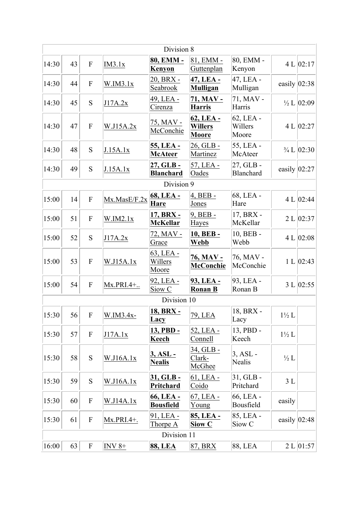|       |    |                           |               | Division 8                       |                                      |                                |                  |                                            |
|-------|----|---------------------------|---------------|----------------------------------|--------------------------------------|--------------------------------|------------------|--------------------------------------------|
| 14:30 | 43 | $\overline{F}$            | IM3.1x        | 80, EMM -<br>Kenyon              | 81, EMM -<br>Guttenplan              | 80, EMM -<br>Kenyon            |                  | 4 L   02:17                                |
| 14:30 | 44 | $\boldsymbol{\mathrm{F}}$ | W.IM3.1x      | 20, BRX -<br>Seabrook            | 47, LEA -<br><b>Mulligan</b>         | 47, LEA -<br>Mulligan          |                  | easily $ 02:38 $                           |
| 14:30 | 45 | S                         | J17A.2x       | 49, LEA -<br>Cirenza             | 71, MAV -<br>Harris                  | 71, MAV -<br>Harris            |                  | $\frac{1}{2}$ L $ 02:09 $                  |
| 14:30 | 47 | $\overline{F}$            | W.J15A.2x     | 75, MAV -<br>McConchie           | 62, LEA -<br><b>Willers</b><br>Moore | 62, LEA -<br>Willers<br>Moore  |                  | 4 L $ 02:27 $                              |
| 14:30 | 48 | S                         | J.15A.1x      | 55, LEA -<br><b>McAteer</b>      | 26, GLB -<br>Martinez                | 55, LEA -<br>McAteer           |                  | $\frac{3}{4}$ L $\left 02:30\right\rangle$ |
| 14:30 | 49 | S                         | J.15A.1x      | 27, GLB-<br><b>Blanchard</b>     | 57, LEA -<br>Oades                   | 27, GLB-<br><b>Blanchard</b>   |                  | easily $ 02:27 $                           |
|       |    |                           |               | Division 9                       |                                      |                                |                  |                                            |
| 15:00 | 14 | $\boldsymbol{\mathrm{F}}$ | Mx.MasE/F.2x  | 68, LEA -<br>Hare                | $4, BEB -$<br>Jones                  | 68, LEA -<br>Hare              |                  | 4 L $ 02:44$                               |
| 15:00 | 51 | $\boldsymbol{\mathrm{F}}$ | W.IM2.1x      | 17, BRX -<br><b>McKellar</b>     | $9, BEB -$<br>Hayes                  | 17, BRX -<br>McKellar          |                  | 2 L   02:37                                |
| 15:00 | 52 | S                         | J17A.2x       | 72, MAV -<br>Grace               | 10, BEB-<br>Webb                     | 10, BEB -<br>Webb              |                  | 4 L   02:08                                |
| 15:00 | 53 | $\boldsymbol{\mathrm{F}}$ | W.J15A.1x     | $63$ , LEA -<br>Willers<br>Moore | 76, MAV -<br>McConchie               | 76, MAV -<br>McConchie         |                  | 1 L   02:43                                |
| 15:00 | 54 | $\boldsymbol{\mathrm{F}}$ | Mx.PRI.4+     | 92, LEA -<br>Siow <sub>C</sub>   | 93, LEA -<br><b>Ronan B</b>          | 93, LEA -<br>Ronan B           |                  | 3 L   02:55                                |
|       |    |                           |               | Division 10                      |                                      |                                |                  |                                            |
| 15:30 | 56 | F                         | W.IM3.4x-     | <b>18, BRX -</b><br>Lacy         | 79, LEA                              | 18, BRX -<br>Lacy              | $1\frac{1}{2}$ L |                                            |
| 15:30 | 57 | $\boldsymbol{\mathrm{F}}$ | J17A.1x       | 13, PBD -<br>Keech               | 52, LEA -<br>Connell                 | 13, PBD -<br>Keech             | $1\frac{1}{2}$ L |                                            |
| 15:30 | 58 | ${\bf S}$                 | W.J16A.1x     | 3, ASL -<br><b>Nealis</b>        | 34, GLB -<br>Clark-<br>McGhee        | $3, ASL -$<br>Nealis           | $\frac{1}{2}L$   |                                            |
| 15:30 | 59 | S                         | W.J16A.1x     | 31, GLB -<br>Pritchard           | $61, LEA$ -<br>Coido                 | $31, GLB -$<br>Pritchard       | 3L               |                                            |
| 15:30 | 60 | $\boldsymbol{\mathrm{F}}$ | W.J14A.1x     | 66, LEA -<br><b>Bousfield</b>    | 67, LEA -<br>Young                   | 66, LEA -<br>Bousfield         | easily           |                                            |
| 15:30 | 61 | $\boldsymbol{F}$          | $Mx.PRI.4+$ . | 91, LEA -<br>Thorpe A            | 85, LEA -<br>Siow C                  | 85, LEA -<br>Siow <sub>C</sub> |                  | easily $ 02:48 $                           |
|       |    |                           |               | Division 11                      |                                      |                                |                  |                                            |
| 16:00 | 63 | $\boldsymbol{\mathrm{F}}$ | INV $8+$      | <b>88, LEA</b>                   | 87, BRX                              | 88, LEA                        |                  | 2 L   01:57                                |